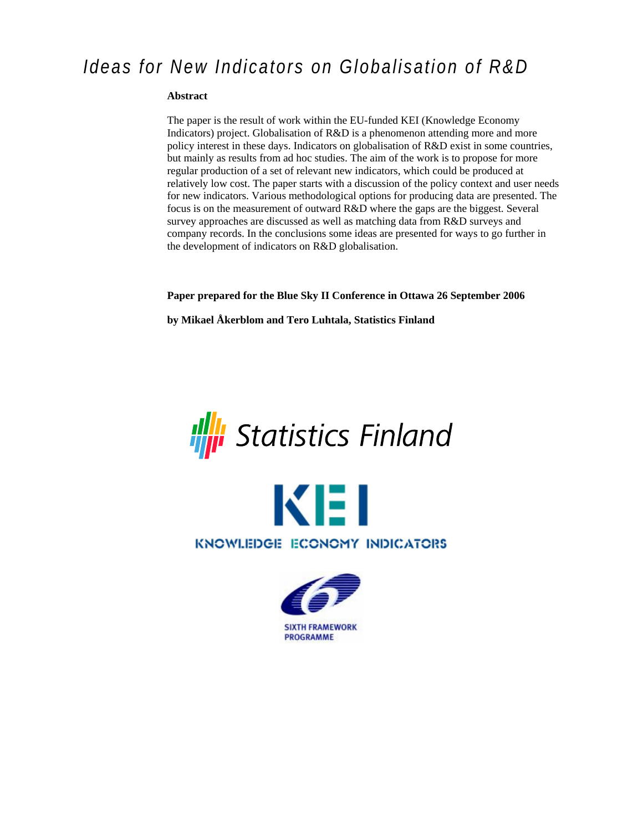# *Ideas for New Indicators on Globalisation of R&D*

#### **Abstract**

The paper is the result of work within the EU-funded KEI (Knowledge Economy Indicators) project. Globalisation of R&D is a phenomenon attending more and more policy interest in these days. Indicators on globalisation of R&D exist in some countries, but mainly as results from ad hoc studies. The aim of the work is to propose for more regular production of a set of relevant new indicators, which could be produced at relatively low cost. The paper starts with a discussion of the policy context and user needs for new indicators. Various methodological options for producing data are presented. The focus is on the measurement of outward R&D where the gaps are the biggest. Several survey approaches are discussed as well as matching data from R&D surveys and company records. In the conclusions some ideas are presented for ways to go further in the development of indicators on R&D globalisation.

**Paper prepared for the Blue Sky II Conference in Ottawa 26 September 2006** 

**by Mikael Åkerblom and Tero Luhtala, Statistics Finland** 





KNOWLEDGE ECONOMY INDICATORS

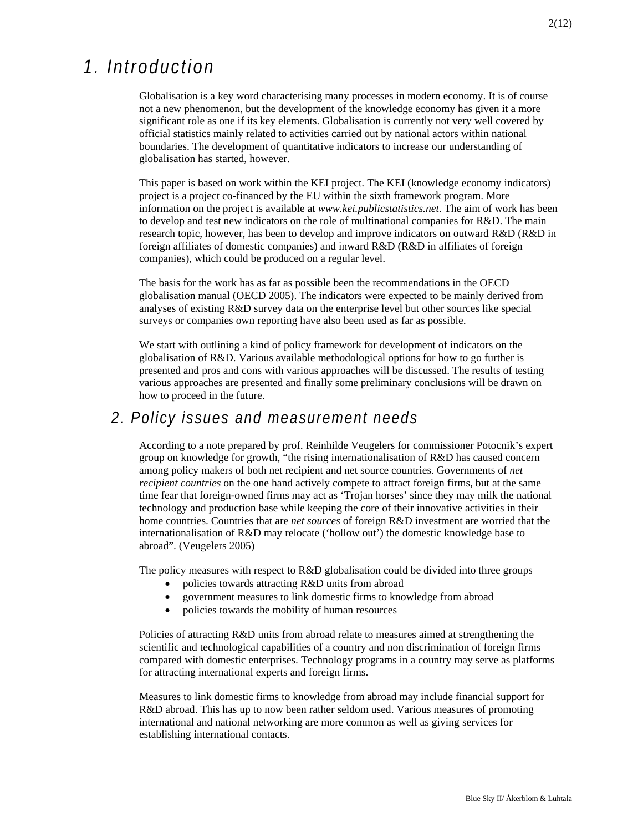# *1. Introduction*

Globalisation is a key word characterising many processes in modern economy. It is of course not a new phenomenon, but the development of the knowledge economy has given it a more significant role as one if its key elements. Globalisation is currently not very well covered by official statistics mainly related to activities carried out by national actors within national boundaries. The development of quantitative indicators to increase our understanding of globalisation has started, however.

This paper is based on work within the KEI project. The KEI (knowledge economy indicators) project is a project co-financed by the EU within the sixth framework program. More information on the project is available at *www.kei.publicstatistics.net*. The aim of work has been to develop and test new indicators on the role of multinational companies for R&D. The main research topic, however, has been to develop and improve indicators on outward R&D (R&D in foreign affiliates of domestic companies) and inward R&D (R&D in affiliates of foreign companies), which could be produced on a regular level.

The basis for the work has as far as possible been the recommendations in the OECD globalisation manual (OECD 2005). The indicators were expected to be mainly derived from analyses of existing R&D survey data on the enterprise level but other sources like special surveys or companies own reporting have also been used as far as possible.

We start with outlining a kind of policy framework for development of indicators on the globalisation of R&D. Various available methodological options for how to go further is presented and pros and cons with various approaches will be discussed. The results of testing various approaches are presented and finally some preliminary conclusions will be drawn on how to proceed in the future.

## *2. Policy issues and measurement needs*

According to a note prepared by prof. Reinhilde Veugelers for commissioner Potocnik's expert group on knowledge for growth, "the rising internationalisation of R&D has caused concern among policy makers of both net recipient and net source countries. Governments of *net recipient countries* on the one hand actively compete to attract foreign firms, but at the same time fear that foreign-owned firms may act as 'Trojan horses' since they may milk the national technology and production base while keeping the core of their innovative activities in their home countries. Countries that are *net sources* of foreign R&D investment are worried that the internationalisation of R&D may relocate ('hollow out') the domestic knowledge base to abroad". (Veugelers 2005)

The policy measures with respect to R&D globalisation could be divided into three groups

- policies towards attracting R&D units from abroad
- government measures to link domestic firms to knowledge from abroad
- policies towards the mobility of human resources

Policies of attracting R&D units from abroad relate to measures aimed at strengthening the scientific and technological capabilities of a country and non discrimination of foreign firms compared with domestic enterprises. Technology programs in a country may serve as platforms for attracting international experts and foreign firms.

Measures to link domestic firms to knowledge from abroad may include financial support for R&D abroad. This has up to now been rather seldom used. Various measures of promoting international and national networking are more common as well as giving services for establishing international contacts.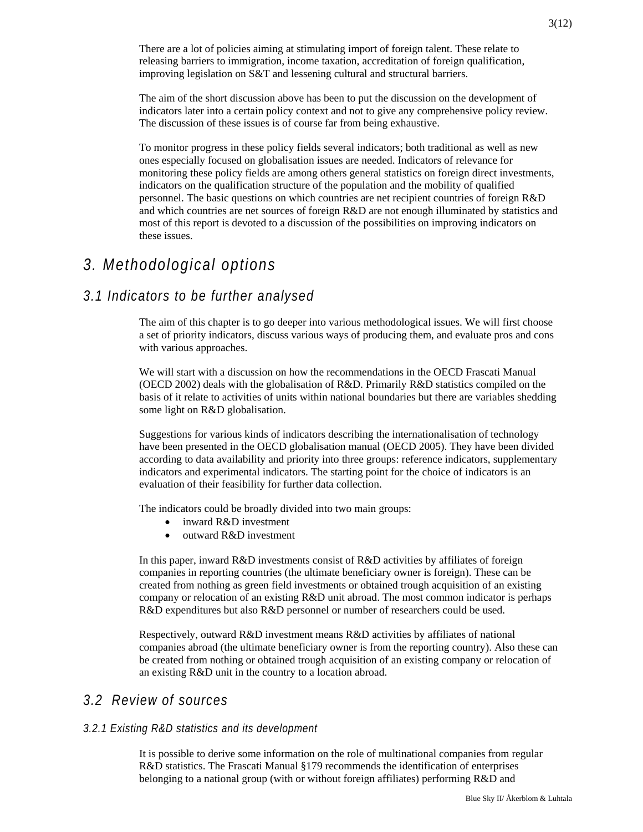There are a lot of policies aiming at stimulating import of foreign talent. These relate to releasing barriers to immigration, income taxation, accreditation of foreign qualification, improving legislation on S&T and lessening cultural and structural barriers.

The aim of the short discussion above has been to put the discussion on the development of indicators later into a certain policy context and not to give any comprehensive policy review. The discussion of these issues is of course far from being exhaustive.

To monitor progress in these policy fields several indicators; both traditional as well as new ones especially focused on globalisation issues are needed. Indicators of relevance for monitoring these policy fields are among others general statistics on foreign direct investments, indicators on the qualification structure of the population and the mobility of qualified personnel. The basic questions on which countries are net recipient countries of foreign R&D and which countries are net sources of foreign R&D are not enough illuminated by statistics and most of this report is devoted to a discussion of the possibilities on improving indicators on these issues.

## *3. Methodological options*

### *3.1 Indicators to be further analysed*

The aim of this chapter is to go deeper into various methodological issues. We will first choose a set of priority indicators, discuss various ways of producing them, and evaluate pros and cons with various approaches.

We will start with a discussion on how the recommendations in the OECD Frascati Manual (OECD 2002) deals with the globalisation of R&D. Primarily R&D statistics compiled on the basis of it relate to activities of units within national boundaries but there are variables shedding some light on R&D globalisation.

Suggestions for various kinds of indicators describing the internationalisation of technology have been presented in the OECD globalisation manual (OECD 2005). They have been divided according to data availability and priority into three groups: reference indicators, supplementary indicators and experimental indicators. The starting point for the choice of indicators is an evaluation of their feasibility for further data collection.

The indicators could be broadly divided into two main groups:

- inward R&D investment
- outward R&D investment

In this paper, inward R&D investments consist of R&D activities by affiliates of foreign companies in reporting countries (the ultimate beneficiary owner is foreign). These can be created from nothing as green field investments or obtained trough acquisition of an existing company or relocation of an existing R&D unit abroad. The most common indicator is perhaps R&D expenditures but also R&D personnel or number of researchers could be used.

Respectively, outward R&D investment means R&D activities by affiliates of national companies abroad (the ultimate beneficiary owner is from the reporting country). Also these can be created from nothing or obtained trough acquisition of an existing company or relocation of an existing R&D unit in the country to a location abroad.

### *3.2 Review of sources*

#### *3.2.1 Existing R&D statistics and its development*

It is possible to derive some information on the role of multinational companies from regular R&D statistics. The Frascati Manual §179 recommends the identification of enterprises belonging to a national group (with or without foreign affiliates) performing R&D and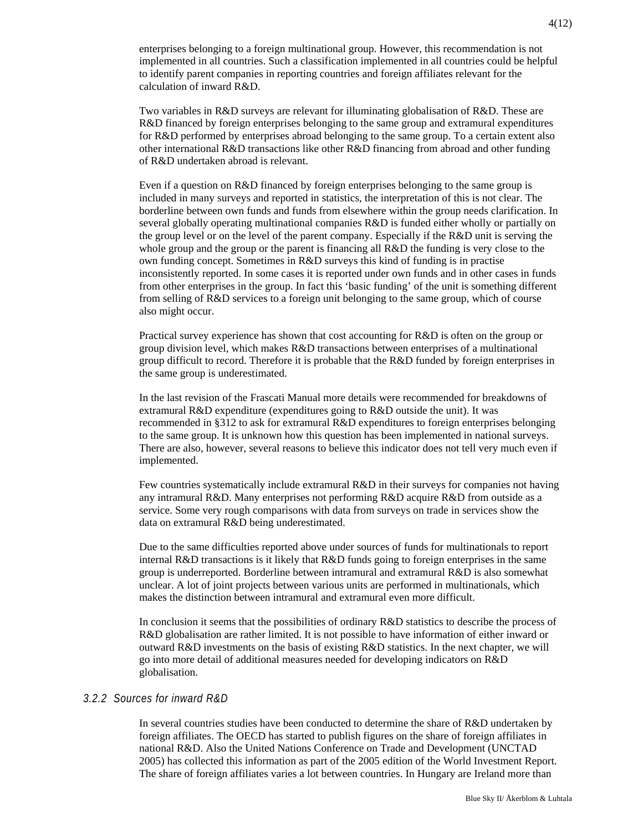enterprises belonging to a foreign multinational group. However, this recommendation is not implemented in all countries. Such a classification implemented in all countries could be helpful to identify parent companies in reporting countries and foreign affiliates relevant for the calculation of inward R&D.

Two variables in R&D surveys are relevant for illuminating globalisation of R&D. These are R&D financed by foreign enterprises belonging to the same group and extramural expenditures for R&D performed by enterprises abroad belonging to the same group. To a certain extent also other international R&D transactions like other R&D financing from abroad and other funding of R&D undertaken abroad is relevant.

Even if a question on R&D financed by foreign enterprises belonging to the same group is included in many surveys and reported in statistics, the interpretation of this is not clear. The borderline between own funds and funds from elsewhere within the group needs clarification. In several globally operating multinational companies R&D is funded either wholly or partially on the group level or on the level of the parent company. Especially if the R&D unit is serving the whole group and the group or the parent is financing all R&D the funding is very close to the own funding concept. Sometimes in R&D surveys this kind of funding is in practise inconsistently reported. In some cases it is reported under own funds and in other cases in funds from other enterprises in the group. In fact this 'basic funding' of the unit is something different from selling of R&D services to a foreign unit belonging to the same group, which of course also might occur.

Practical survey experience has shown that cost accounting for R&D is often on the group or group division level, which makes R&D transactions between enterprises of a multinational group difficult to record. Therefore it is probable that the R&D funded by foreign enterprises in the same group is underestimated.

In the last revision of the Frascati Manual more details were recommended for breakdowns of extramural R&D expenditure (expenditures going to R&D outside the unit). It was recommended in §312 to ask for extramural R&D expenditures to foreign enterprises belonging to the same group. It is unknown how this question has been implemented in national surveys. There are also, however, several reasons to believe this indicator does not tell very much even if implemented.

Few countries systematically include extramural R&D in their surveys for companies not having any intramural R&D. Many enterprises not performing R&D acquire R&D from outside as a service. Some very rough comparisons with data from surveys on trade in services show the data on extramural R&D being underestimated.

Due to the same difficulties reported above under sources of funds for multinationals to report internal R&D transactions is it likely that  $R&D$  funds going to foreign enterprises in the same group is underreported. Borderline between intramural and extramural R&D is also somewhat unclear. A lot of joint projects between various units are performed in multinationals, which makes the distinction between intramural and extramural even more difficult.

In conclusion it seems that the possibilities of ordinary R&D statistics to describe the process of R&D globalisation are rather limited. It is not possible to have information of either inward or outward R&D investments on the basis of existing R&D statistics. In the next chapter, we will go into more detail of additional measures needed for developing indicators on R&D globalisation.

#### *3.2.2 Sources for inward R&D*

In several countries studies have been conducted to determine the share of R&D undertaken by foreign affiliates. The OECD has started to publish figures on the share of foreign affiliates in national R&D. Also the United Nations Conference on Trade and Development (UNCTAD 2005) has collected this information as part of the 2005 edition of the World Investment Report. The share of foreign affiliates varies a lot between countries. In Hungary are Ireland more than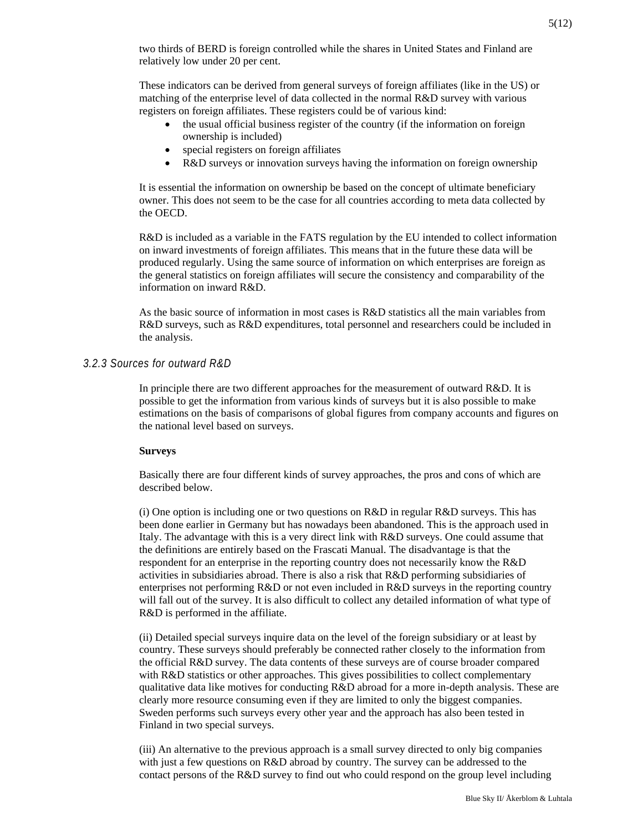two thirds of BERD is foreign controlled while the shares in United States and Finland are relatively low under 20 per cent.

These indicators can be derived from general surveys of foreign affiliates (like in the US) or matching of the enterprise level of data collected in the normal R&D survey with various registers on foreign affiliates. These registers could be of various kind:

- the usual official business register of the country (if the information on foreign ownership is included)
- special registers on foreign affiliates
- R&D surveys or innovation surveys having the information on foreign ownership

It is essential the information on ownership be based on the concept of ultimate beneficiary owner. This does not seem to be the case for all countries according to meta data collected by the OECD.

R&D is included as a variable in the FATS regulation by the EU intended to collect information on inward investments of foreign affiliates. This means that in the future these data will be produced regularly. Using the same source of information on which enterprises are foreign as the general statistics on foreign affiliates will secure the consistency and comparability of the information on inward R&D.

As the basic source of information in most cases is R&D statistics all the main variables from R&D surveys, such as R&D expenditures, total personnel and researchers could be included in the analysis.

#### *3.2.3 Sources for outward R&D*

In principle there are two different approaches for the measurement of outward R&D. It is possible to get the information from various kinds of surveys but it is also possible to make estimations on the basis of comparisons of global figures from company accounts and figures on the national level based on surveys.

#### **Surveys**

Basically there are four different kinds of survey approaches, the pros and cons of which are described below.

(i) One option is including one or two questions on R&D in regular R&D surveys. This has been done earlier in Germany but has nowadays been abandoned. This is the approach used in Italy. The advantage with this is a very direct link with R&D surveys. One could assume that the definitions are entirely based on the Frascati Manual. The disadvantage is that the respondent for an enterprise in the reporting country does not necessarily know the R&D activities in subsidiaries abroad. There is also a risk that R&D performing subsidiaries of enterprises not performing R&D or not even included in R&D surveys in the reporting country will fall out of the survey. It is also difficult to collect any detailed information of what type of R&D is performed in the affiliate.

(ii) Detailed special surveys inquire data on the level of the foreign subsidiary or at least by country. These surveys should preferably be connected rather closely to the information from the official R&D survey. The data contents of these surveys are of course broader compared with R&D statistics or other approaches. This gives possibilities to collect complementary qualitative data like motives for conducting R&D abroad for a more in-depth analysis. These are clearly more resource consuming even if they are limited to only the biggest companies. Sweden performs such surveys every other year and the approach has also been tested in Finland in two special surveys.

(iii) An alternative to the previous approach is a small survey directed to only big companies with just a few questions on R&D abroad by country. The survey can be addressed to the contact persons of the R&D survey to find out who could respond on the group level including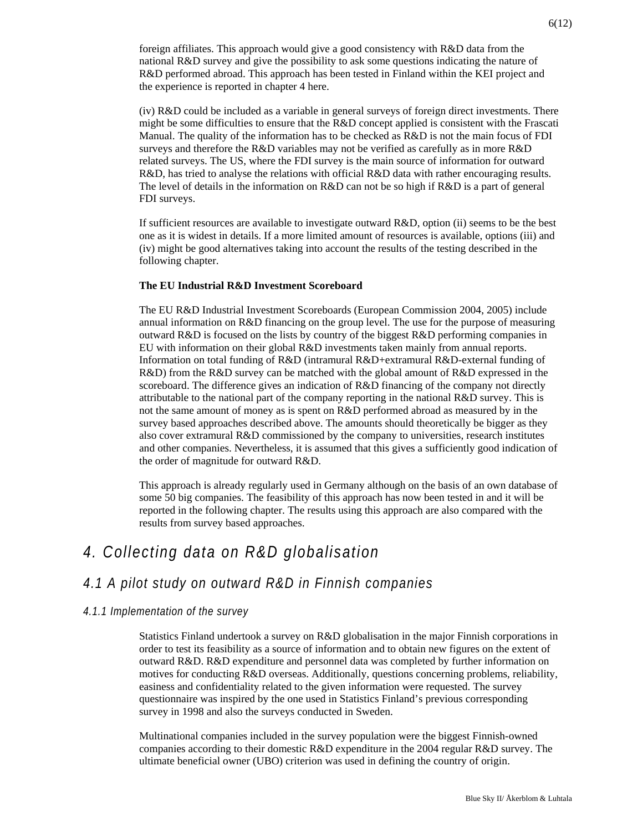foreign affiliates. This approach would give a good consistency with R&D data from the national R&D survey and give the possibility to ask some questions indicating the nature of R&D performed abroad. This approach has been tested in Finland within the KEI project and the experience is reported in chapter 4 here.

(iv) R&D could be included as a variable in general surveys of foreign direct investments. There might be some difficulties to ensure that the  $R&D$  concept applied is consistent with the Frascati Manual. The quality of the information has to be checked as R&D is not the main focus of FDI surveys and therefore the  $R&D$  variables may not be verified as carefully as in more  $R&D$ related surveys. The US, where the FDI survey is the main source of information for outward R&D, has tried to analyse the relations with official R&D data with rather encouraging results. The level of details in the information on  $R&D$  can not be so high if  $R&D$  is a part of general FDI surveys.

If sufficient resources are available to investigate outward R&D, option (ii) seems to be the best one as it is widest in details. If a more limited amount of resources is available, options (iii) and (iv) might be good alternatives taking into account the results of the testing described in the following chapter.

#### **The EU Industrial R&D Investment Scoreboard**

The EU R&D Industrial Investment Scoreboards (European Commission 2004, 2005) include annual information on R&D financing on the group level. The use for the purpose of measuring outward R&D is focused on the lists by country of the biggest R&D performing companies in EU with information on their global R&D investments taken mainly from annual reports. Information on total funding of R&D (intramural R&D+extramural R&D-external funding of R&D) from the R&D survey can be matched with the global amount of R&D expressed in the scoreboard. The difference gives an indication of R&D financing of the company not directly attributable to the national part of the company reporting in the national R&D survey. This is not the same amount of money as is spent on R&D performed abroad as measured by in the survey based approaches described above. The amounts should theoretically be bigger as they also cover extramural R&D commissioned by the company to universities, research institutes and other companies. Nevertheless, it is assumed that this gives a sufficiently good indication of the order of magnitude for outward R&D.

This approach is already regularly used in Germany although on the basis of an own database of some 50 big companies. The feasibility of this approach has now been tested in and it will be reported in the following chapter. The results using this approach are also compared with the results from survey based approaches.

## *4. Collecting data on R&D globalisation*

### *4.1 A pilot study on outward R&D in Finnish companies*

#### *4.1.1 Implementation of the survey*

Statistics Finland undertook a survey on R&D globalisation in the major Finnish corporations in order to test its feasibility as a source of information and to obtain new figures on the extent of outward R&D. R&D expenditure and personnel data was completed by further information on motives for conducting R&D overseas. Additionally, questions concerning problems, reliability, easiness and confidentiality related to the given information were requested. The survey questionnaire was inspired by the one used in Statistics Finland's previous corresponding survey in 1998 and also the surveys conducted in Sweden.

Multinational companies included in the survey population were the biggest Finnish-owned companies according to their domestic R&D expenditure in the 2004 regular R&D survey. The ultimate beneficial owner (UBO) criterion was used in defining the country of origin.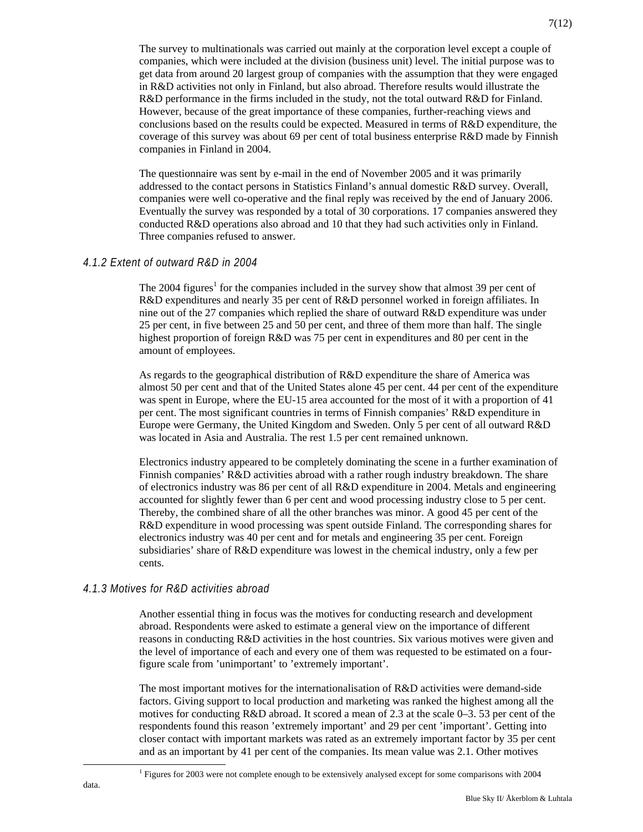The survey to multinationals was carried out mainly at the corporation level except a couple of companies, which were included at the division (business unit) level. The initial purpose was to get data from around 20 largest group of companies with the assumption that they were engaged in R&D activities not only in Finland, but also abroad. Therefore results would illustrate the R&D performance in the firms included in the study, not the total outward R&D for Finland. However, because of the great importance of these companies, further-reaching views and conclusions based on the results could be expected. Measured in terms of R&D expenditure, the coverage of this survey was about 69 per cent of total business enterprise R&D made by Finnish companies in Finland in 2004.

The questionnaire was sent by e-mail in the end of November 2005 and it was primarily addressed to the contact persons in Statistics Finland's annual domestic R&D survey. Overall, companies were well co-operative and the final reply was received by the end of January 2006. Eventually the survey was responded by a total of 30 corporations. 17 companies answered they conducted R&D operations also abroad and 10 that they had such activities only in Finland. Three companies refused to answer.

#### *4.1.2 Extent of outward R&D in 2004*

The 2004 figures<sup>1</sup> for the companies included in the survey show that almost 39 per cent of R&D expenditures and nearly 35 per cent of R&D personnel worked in foreign affiliates. In nine out of the 27 companies which replied the share of outward R&D expenditure was under 25 per cent, in five between 25 and 50 per cent, and three of them more than half. The single highest proportion of foreign R&D was 75 per cent in expenditures and 80 per cent in the amount of employees.

As regards to the geographical distribution of R&D expenditure the share of America was almost 50 per cent and that of the United States alone 45 per cent. 44 per cent of the expenditure was spent in Europe, where the EU-15 area accounted for the most of it with a proportion of 41 per cent. The most significant countries in terms of Finnish companies' R&D expenditure in Europe were Germany, the United Kingdom and Sweden. Only 5 per cent of all outward R&D was located in Asia and Australia. The rest 1.5 per cent remained unknown.

Electronics industry appeared to be completely dominating the scene in a further examination of Finnish companies' R&D activities abroad with a rather rough industry breakdown. The share of electronics industry was 86 per cent of all R&D expenditure in 2004. Metals and engineering accounted for slightly fewer than 6 per cent and wood processing industry close to 5 per cent. Thereby, the combined share of all the other branches was minor. A good 45 per cent of the R&D expenditure in wood processing was spent outside Finland. The corresponding shares for electronics industry was 40 per cent and for metals and engineering 35 per cent. Foreign subsidiaries' share of R&D expenditure was lowest in the chemical industry, only a few per cents.

#### *4.1.3 Motives for R&D activities abroad*

Another essential thing in focus was the motives for conducting research and development abroad. Respondents were asked to estimate a general view on the importance of different reasons in conducting R&D activities in the host countries. Six various motives were given and the level of importance of each and every one of them was requested to be estimated on a fourfigure scale from 'unimportant' to 'extremely important'.

The most important motives for the internationalisation of R&D activities were demand-side factors. Giving support to local production and marketing was ranked the highest among all the motives for conducting R&D abroad. It scored a mean of 2.3 at the scale 0–3. 53 per cent of the respondents found this reason 'extremely important' and 29 per cent 'important'. Getting into closer contact with important markets was rated as an extremely important factor by 35 per cent and as an important by 41 per cent of the companies. Its mean value was 2.1. Other motives

<sup>1</sup> <sup>1</sup> Figures for 2003 were not complete enough to be extensively analysed except for some comparisons with 2004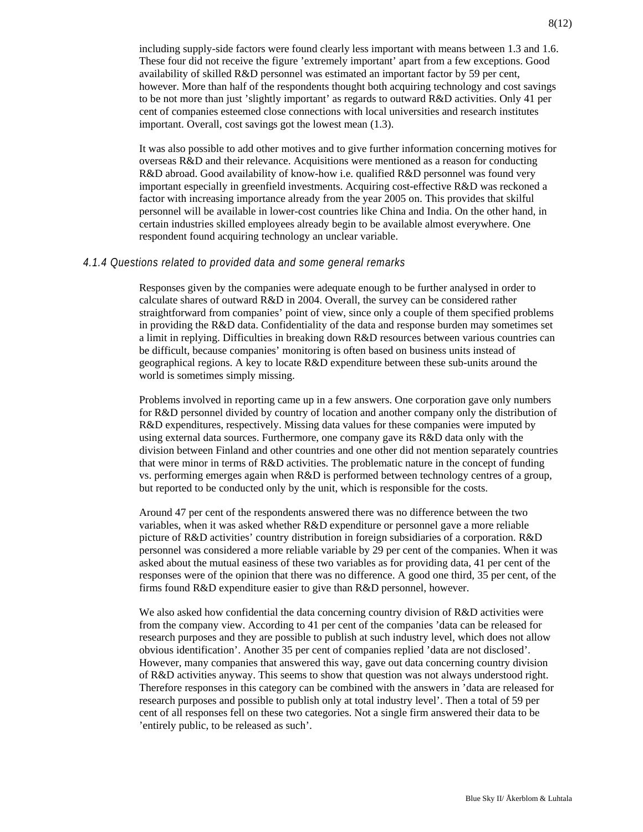including supply-side factors were found clearly less important with means between 1.3 and 1.6. These four did not receive the figure 'extremely important' apart from a few exceptions. Good availability of skilled R&D personnel was estimated an important factor by 59 per cent, however. More than half of the respondents thought both acquiring technology and cost savings to be not more than just 'slightly important' as regards to outward R&D activities. Only 41 per cent of companies esteemed close connections with local universities and research institutes important. Overall, cost savings got the lowest mean (1.3).

It was also possible to add other motives and to give further information concerning motives for overseas R&D and their relevance. Acquisitions were mentioned as a reason for conducting R&D abroad. Good availability of know-how i.e. qualified R&D personnel was found very important especially in greenfield investments. Acquiring cost-effective R&D was reckoned a factor with increasing importance already from the year 2005 on. This provides that skilful personnel will be available in lower-cost countries like China and India. On the other hand, in certain industries skilled employees already begin to be available almost everywhere. One respondent found acquiring technology an unclear variable.

#### *4.1.4 Questions related to provided data and some general remarks*

Responses given by the companies were adequate enough to be further analysed in order to calculate shares of outward R&D in 2004. Overall, the survey can be considered rather straightforward from companies' point of view, since only a couple of them specified problems in providing the  $R&D$  data. Confidentiality of the data and response burden may sometimes set a limit in replying. Difficulties in breaking down R&D resources between various countries can be difficult, because companies' monitoring is often based on business units instead of geographical regions. A key to locate  $R&D$  expenditure between these sub-units around the world is sometimes simply missing.

Problems involved in reporting came up in a few answers. One corporation gave only numbers for R&D personnel divided by country of location and another company only the distribution of R&D expenditures, respectively. Missing data values for these companies were imputed by using external data sources. Furthermore, one company gave its R&D data only with the division between Finland and other countries and one other did not mention separately countries that were minor in terms of R&D activities. The problematic nature in the concept of funding vs. performing emerges again when  $R&D$  is performed between technology centres of a group, but reported to be conducted only by the unit, which is responsible for the costs.

Around 47 per cent of the respondents answered there was no difference between the two variables, when it was asked whether R&D expenditure or personnel gave a more reliable picture of R&D activities' country distribution in foreign subsidiaries of a corporation. R&D personnel was considered a more reliable variable by 29 per cent of the companies. When it was asked about the mutual easiness of these two variables as for providing data, 41 per cent of the responses were of the opinion that there was no difference. A good one third, 35 per cent, of the firms found R&D expenditure easier to give than R&D personnel, however.

We also asked how confidential the data concerning country division of R&D activities were from the company view. According to 41 per cent of the companies 'data can be released for research purposes and they are possible to publish at such industry level, which does not allow obvious identification'. Another 35 per cent of companies replied 'data are not disclosed'. However, many companies that answered this way, gave out data concerning country division of R&D activities anyway. This seems to show that question was not always understood right. Therefore responses in this category can be combined with the answers in 'data are released for research purposes and possible to publish only at total industry level'. Then a total of 59 per cent of all responses fell on these two categories. Not a single firm answered their data to be 'entirely public, to be released as such'.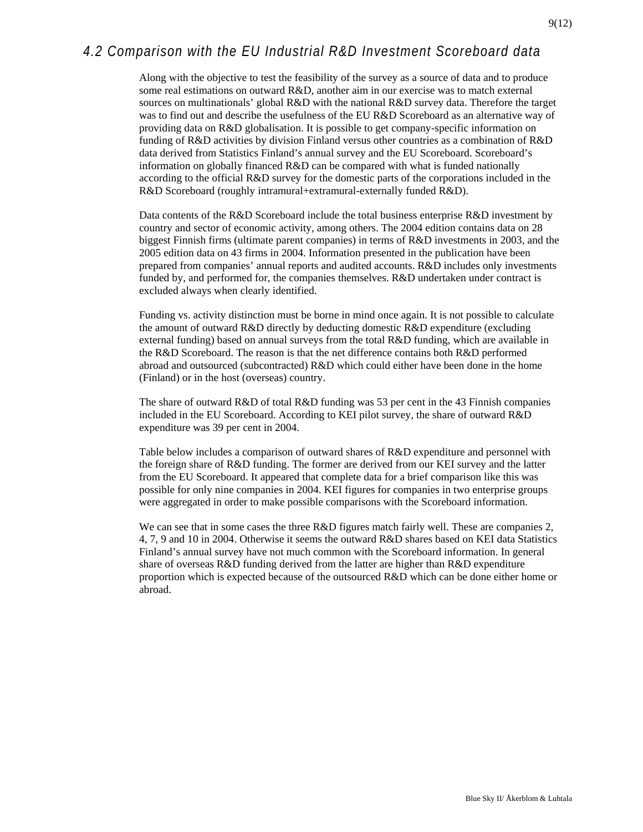Along with the objective to test the feasibility of the survey as a source of data and to produce some real estimations on outward R&D, another aim in our exercise was to match external sources on multinationals' global R&D with the national R&D survey data. Therefore the target was to find out and describe the usefulness of the EU R&D Scoreboard as an alternative way of providing data on R&D globalisation. It is possible to get company-specific information on funding of R&D activities by division Finland versus other countries as a combination of R&D data derived from Statistics Finland's annual survey and the EU Scoreboard. Scoreboard's information on globally financed  $R&D$  can be compared with what is funded nationally according to the official R&D survey for the domestic parts of the corporations included in the R&D Scoreboard (roughly intramural+extramural-externally funded R&D).

Data contents of the R&D Scoreboard include the total business enterprise R&D investment by country and sector of economic activity, among others. The 2004 edition contains data on 28 biggest Finnish firms (ultimate parent companies) in terms of R&D investments in 2003, and the 2005 edition data on 43 firms in 2004. Information presented in the publication have been prepared from companies' annual reports and audited accounts. R&D includes only investments funded by, and performed for, the companies themselves. R&D undertaken under contract is excluded always when clearly identified.

Funding vs. activity distinction must be borne in mind once again. It is not possible to calculate the amount of outward R&D directly by deducting domestic R&D expenditure (excluding external funding) based on annual surveys from the total  $R&D$  funding, which are available in the R&D Scoreboard. The reason is that the net difference contains both R&D performed abroad and outsourced (subcontracted) R&D which could either have been done in the home (Finland) or in the host (overseas) country.

The share of outward R&D of total R&D funding was 53 per cent in the 43 Finnish companies included in the EU Scoreboard. According to KEI pilot survey, the share of outward R&D expenditure was 39 per cent in 2004.

Table below includes a comparison of outward shares of R&D expenditure and personnel with the foreign share of R&D funding. The former are derived from our KEI survey and the latter from the EU Scoreboard. It appeared that complete data for a brief comparison like this was possible for only nine companies in 2004. KEI figures for companies in two enterprise groups were aggregated in order to make possible comparisons with the Scoreboard information.

We can see that in some cases the three R&D figures match fairly well. These are companies 2, 4, 7, 9 and 10 in 2004. Otherwise it seems the outward R&D shares based on KEI data Statistics Finland's annual survey have not much common with the Scoreboard information. In general share of overseas R&D funding derived from the latter are higher than R&D expenditure proportion which is expected because of the outsourced R&D which can be done either home or abroad.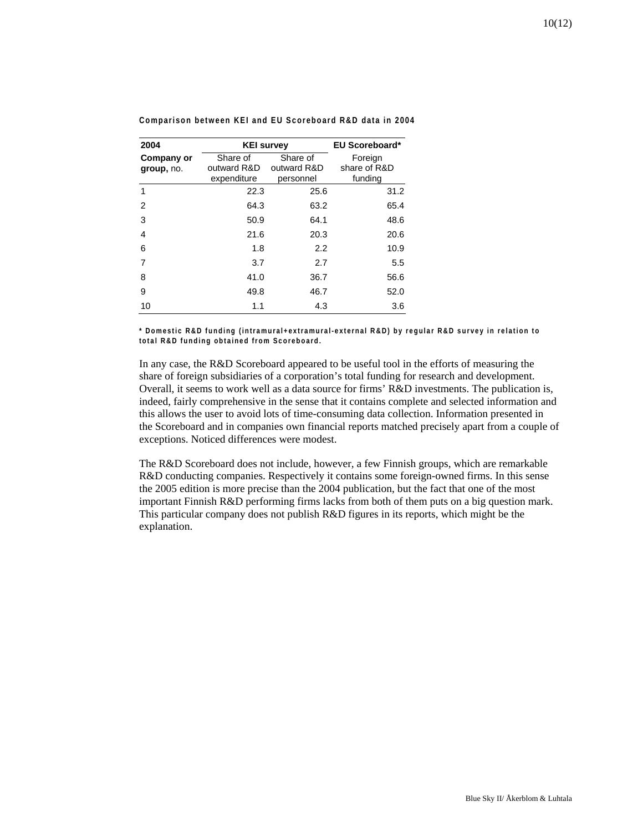| 2004                     | <b>KEI survey</b>                      |                                      | <b>EU Scoreboard*</b>              |
|--------------------------|----------------------------------------|--------------------------------------|------------------------------------|
| Company or<br>group, no. | Share of<br>outward R&D<br>expenditure | Share of<br>outward R&D<br>personnel | Foreign<br>share of R&D<br>funding |
| 1                        | 22.3                                   | 25.6                                 | 31.2                               |
| 2                        | 64.3                                   | 63.2                                 | 65.4                               |
| 3                        | 50.9                                   | 64.1                                 | 48.6                               |
| 4                        | 21.6                                   | 20.3                                 | 20.6                               |
| 6                        | 1.8                                    | 2.2                                  | 10.9                               |
| 7                        | 3.7                                    | 2.7                                  | 5.5                                |
| 8                        | 41.0                                   | 36.7                                 | 56.6                               |
| 9                        | 49.8                                   | 46.7                                 | 52.0                               |
| 10                       | 1.1                                    | 4.3                                  | 3.6                                |

**Comparison between KEI and EU Scoreboard R&D data in 2004** 

**\* Domestic R&D funding (intramural+extramural-external R&D) by regular R&D survey in relation to total R&D funding obtained from Scoreboard.** 

In any case, the R&D Scoreboard appeared to be useful tool in the efforts of measuring the share of foreign subsidiaries of a corporation's total funding for research and development. Overall, it seems to work well as a data source for firms' R&D investments. The publication is, indeed, fairly comprehensive in the sense that it contains complete and selected information and this allows the user to avoid lots of time-consuming data collection. Information presented in the Scoreboard and in companies own financial reports matched precisely apart from a couple of exceptions. Noticed differences were modest.

The R&D Scoreboard does not include, however, a few Finnish groups, which are remarkable R&D conducting companies. Respectively it contains some foreign-owned firms. In this sense the 2005 edition is more precise than the 2004 publication, but the fact that one of the most important Finnish R&D performing firms lacks from both of them puts on a big question mark. This particular company does not publish R&D figures in its reports, which might be the explanation.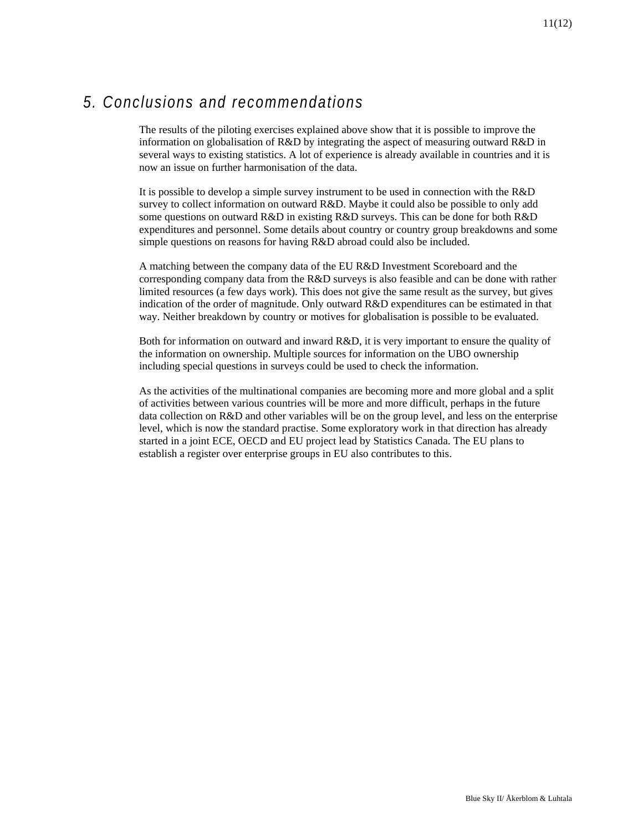# *5. Conclusions and recommendations*

The results of the piloting exercises explained above show that it is possible to improve the information on globalisation of R&D by integrating the aspect of measuring outward R&D in several ways to existing statistics. A lot of experience is already available in countries and it is now an issue on further harmonisation of the data.

It is possible to develop a simple survey instrument to be used in connection with the R&D survey to collect information on outward R&D. Maybe it could also be possible to only add some questions on outward R&D in existing R&D surveys. This can be done for both R&D expenditures and personnel. Some details about country or country group breakdowns and some simple questions on reasons for having R&D abroad could also be included.

A matching between the company data of the EU R&D Investment Scoreboard and the corresponding company data from the R&D surveys is also feasible and can be done with rather limited resources (a few days work). This does not give the same result as the survey, but gives indication of the order of magnitude. Only outward R&D expenditures can be estimated in that way. Neither breakdown by country or motives for globalisation is possible to be evaluated.

Both for information on outward and inward R&D, it is very important to ensure the quality of the information on ownership. Multiple sources for information on the UBO ownership including special questions in surveys could be used to check the information.

As the activities of the multinational companies are becoming more and more global and a split of activities between various countries will be more and more difficult, perhaps in the future data collection on R&D and other variables will be on the group level, and less on the enterprise level, which is now the standard practise. Some exploratory work in that direction has already started in a joint ECE, OECD and EU project lead by Statistics Canada. The EU plans to establish a register over enterprise groups in EU also contributes to this.